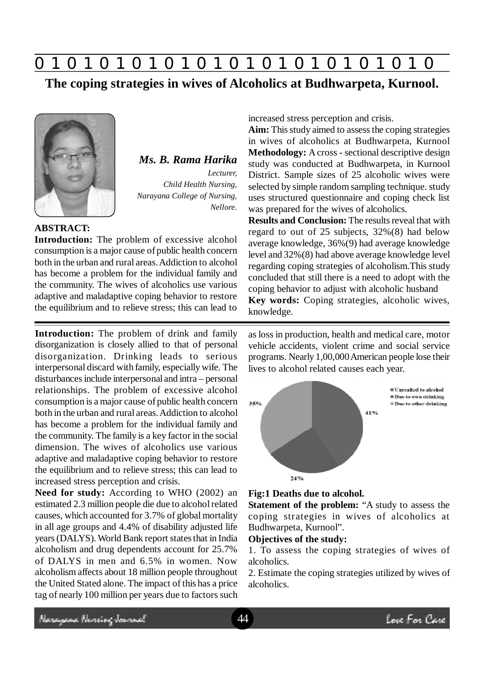

**The coping strategies in wives of Alcoholics at Budhwarpeta, Kurnool.**



*Ms. B. Rama Harika Lecturer, Child Health Nursing, Narayana College of Nursing, Nellore.*

## **ABSTRACT:**

**Introduction:** The problem of excessive alcohol consumption is a major cause of public health concern both in the urban and rural areas. Addiction to alcohol has become a problem for the individual family and the community. The wives of alcoholics use various adaptive and maladaptive coping behavior to restore the equilibrium and to relieve stress; this can lead to

**Introduction:** The problem of drink and family disorganization is closely allied to that of personal disorganization. Drinking leads to serious interpersonal discard with family, especially wife. The disturbances include interpersonal and intra – personal relationships. The problem of excessive alcohol consumption is a major cause of public health concern both in the urban and rural areas. Addiction to alcohol has become a problem for the individual family and the community. The family is a key factor in the social dimension. The wives of alcoholics use various adaptive and maladaptive coping behavior to restore the equilibrium and to relieve stress; this can lead to increased stress perception and crisis.

**Need for study:** According to WHO (2002) an estimated 2.3 million people die due to alcohol related causes, which accounted for 3.7% of global mortality in all age groups and 4.4% of disability adjusted life years (DALYS). World Bank report states that in India alcoholism and drug dependents account for 25.7% of DALYS in men and 6.5% in women. Now alcoholism affects about 18 million people throughout the United Stated alone. The impact of this has a price tag of nearly 100 million per years due to factors such increased stress perception and crisis.

**Aim:** This study aimed to assess the coping strategies in wives of alcoholics at Budhwarpeta, Kurnool **Methodology:** A cross - sectional descriptive design study was conducted at Budhwarpeta, in Kurnool District. Sample sizes of 25 alcoholic wives were selected by simple random sampling technique. study uses structured questionnaire and coping check list was prepared for the wives of alcoholics.

**Results and Conclusion:** The results reveal that with regard to out of 25 subjects, 32%(8) had below average knowledge, 36%(9) had average knowledge level and 32%(8) had above average knowledge level regarding coping strategies of alcoholism.This study concluded that still there is a need to adopt with the coping behavior to adjust with alcoholic husband **Key words:** Coping strategies, alcoholic wives, knowledge.

as loss in production, health and medical care, motor vehicle accidents, violent crime and social service programs. Nearly 1,00,000 American people lose their lives to alcohol related causes each year.



### **Fig:1 Deaths due to alcohol.**

**Statement of the problem:** "A study to assess the coping strategies in wives of alcoholics at Budhwarpeta, Kurnool".

### **Objectives of the study:**

1. To assess the coping strategies of wives of alcoholics.

2. Estimate the coping strategies utilized by wives of alcoholics.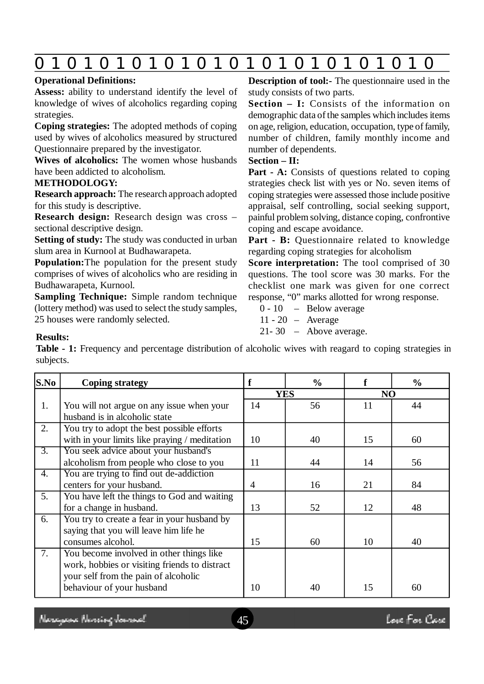| O                                                                                                             |                                                                                                            |  |  |  |  |
|---------------------------------------------------------------------------------------------------------------|------------------------------------------------------------------------------------------------------------|--|--|--|--|
| <b>Operational Definitions:</b>                                                                               | <b>Description of tool:</b> The question aire used in the                                                  |  |  |  |  |
| <b>Assess:</b> ability to understand identify the level of                                                    | study consists of two parts.                                                                               |  |  |  |  |
| knowledge of wives of alcoholics regarding coping<br>strategies.                                              | <b>Section - I:</b> Consists of the information on<br>demographic data of the samples which includes items |  |  |  |  |
| <b>Coping strategies:</b> The adopted methods of coping<br>used by wives of alcoholics measured by structured | on age, religion, education, occupation, type of family,<br>number of children, family monthly income and  |  |  |  |  |
| Questionnaire prepared by the investigator.                                                                   | number of dependents.                                                                                      |  |  |  |  |
| Wives of alcoholics: The women whose husbands                                                                 | $Section - II:$                                                                                            |  |  |  |  |
| have been addicted to alcoholism.                                                                             | <b>Part - A:</b> Consists of questions related to coping                                                   |  |  |  |  |
| <b>METHODOLOGY:</b>                                                                                           | strategies check list with yes or No. seven items of                                                       |  |  |  |  |
| <b>Research approach:</b> The research approach adopted                                                       | coping strategies were assessed those include positive                                                     |  |  |  |  |
| for this study is descriptive.                                                                                | appraisal, self controlling, social seeking support,                                                       |  |  |  |  |
| Research design: Research design was cross -                                                                  | painful problem solving, distance coping, confrontive                                                      |  |  |  |  |
| sectional descriptive design.                                                                                 | coping and escape avoidance.                                                                               |  |  |  |  |
| <b>Setting of study:</b> The study was conducted in urban                                                     | <b>Part - B:</b> Questionnaire related to knowledge                                                        |  |  |  |  |
| slum area in Kurnool at Budhawarapeta.                                                                        | regarding coping strategies for alcoholism                                                                 |  |  |  |  |
| <b>Population:</b> The population for the present study                                                       | Score interpretation: The tool comprised of 30                                                             |  |  |  |  |
| comprises of wives of alcoholics who are residing in                                                          | questions. The tool score was 30 marks. For the                                                            |  |  |  |  |
| Budhawarapeta, Kurnool.                                                                                       | checklist one mark was given for one correct                                                               |  |  |  |  |
| <b>Sampling Technique:</b> Simple random technique                                                            | response, "0" marks allotted for wrong response.                                                           |  |  |  |  |

**Sampling Technique:** Simple random technique (lottery method) was used to select the study samples, 25 houses were randomly selected.

0 - 10 – Below average

- 11 20 Average
- 21- 30 Above average.

# **Results:**

**Table - 1:** Frequency and percentage distribution of alcoholic wives with reagard to coping strategies in subjects.

| S.No             | <b>Coping strategy</b>                        | f          | $\frac{6}{9}$ | f  | $\frac{0}{0}$ |
|------------------|-----------------------------------------------|------------|---------------|----|---------------|
|                  |                                               | <b>YES</b> |               | NO |               |
| 1.               | You will not argue on any issue when your     | 14         | 56            | 11 | 44            |
|                  | husband is in alcoholic state                 |            |               |    |               |
| 2.               | You try to adopt the best possible efforts    |            |               |    |               |
|                  | with in your limits like praying / meditation | 10         | 40            | 15 | 60            |
| $\overline{3}$ . | You seek advice about your husband's          |            |               |    |               |
|                  | alcoholism from people who close to you       | 11         | 44            | 14 | 56            |
| 4.               | You are trying to find out de-addiction       |            |               |    |               |
|                  | centers for your husband.                     | 4          | 16            | 21 | 84            |
| 5.               | You have left the things to God and waiting   |            |               |    |               |
|                  | for a change in husband.                      | 13         | 52            | 12 | 48            |
| 6.               | You try to create a fear in your husband by   |            |               |    |               |
|                  | saying that you will leave him life he        |            |               |    |               |
|                  | consumes alcohol.                             | 15         | 60            | 10 | 40            |
| 7.               | You become involved in other things like      |            |               |    |               |
|                  | work, hobbies or visiting friends to distract |            |               |    |               |
|                  | your self from the pain of alcoholic          |            |               |    |               |
|                  | behaviour of your husband                     | 10         | 40            | 15 | 60            |